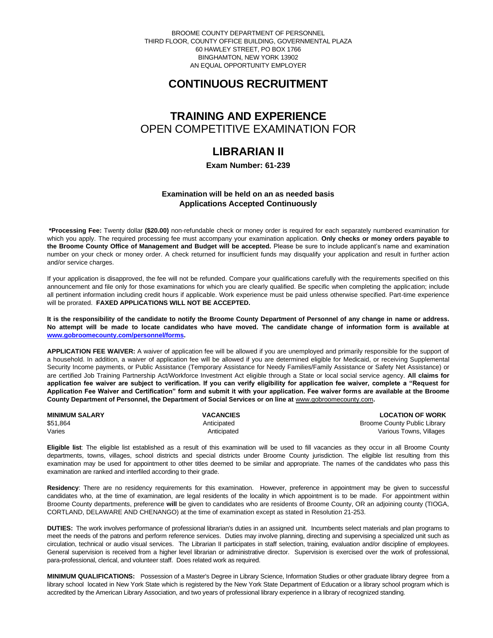BROOME COUNTY DEPARTMENT OF PERSONNEL THIRD FLOOR, COUNTY OFFICE BUILDING, GOVERNMENTAL PLAZA 60 HAWLEY STREET, PO BOX 1766 BINGHAMTON, NEW YORK 13902 AN EQUAL OPPORTUNITY EMPLOYER

# **CONTINUOUS RECRUITMENT**

### **TRAINING AND EXPERIENCE** OPEN COMPETITIVE EXAMINATION FOR

# **LIBRARIAN II**

**Exam Number: 61-239**

### **Examination will be held on an as needed basis Applications Accepted Continuously**

**\*Processing Fee:** Twenty dollar **(\$20.00)** non-refundable check or money order is required for each separately numbered examination for which you apply. The required processing fee must accompany your examination application. **Only checks or money orders payable to the Broome County Office of Management and Budget will be accepted.** Please be sure to include applicant's name and examination number on your check or money order. A check returned for insufficient funds may disqualify your application and result in further action and/or service charges.

If your application is disapproved, the fee will not be refunded. Compare your qualifications carefully with the requirements specified on this announcement and file only for those examinations for which you are clearly qualified. Be specific when completing the application; include all pertinent information including credit hours if applicable. Work experience must be paid unless otherwise specified. Part-time experience will be prorated. **FAXED APPLICATIONS WILL NOT BE ACCEPTED.** 

**It is the responsibility of the candidate to notify the Broome County Department of Personnel of any change in name or address. No attempt will be made to locate candidates who have moved. The candidate change of information form is available at [www.gobroomecounty.com/personnel/forms.](http://www.gobroomecounty.com/personnel/forms)** 

**APPLICATION FEE WAIVER:** A waiver of application fee will be allowed if you are unemployed and primarily responsible for the support of a household. In addition, a waiver of application fee will be allowed if you are determined eligible for Medicaid, or receiving Supplemental Security Income payments, or Public Assistance (Temporary Assistance for Needy Families/Family Assistance or Safety Net Assistance) or are certified Job Training Partnership Act/Workforce Investment Act eligible through a State or local social service agency. **All claims for application fee waiver are subject to verification. If you can verify eligibility for application fee waiver, complete a "Request for Application Fee Waiver and Certification" form and submit it with your application. Fee waiver forms are available at the Broome**  County Department of Personnel, the Department of Social Services or on line at **www.gobroomecounty.com**.

| <b>MINIMUM SALARY</b> | <b>VACANCIES</b> | <b>LOCATION OF WORK</b>      |
|-----------------------|------------------|------------------------------|
| \$51,864              | Anticipated      | Broome County Public Library |
| Varies                | Anticipated      | Various Towns, Villages      |

**Eligible list**: The eligible list established as a result of this examination will be used to fill vacancies as they occur in all Broome County departments, towns, villages, school districts and special districts under Broome County jurisdiction. The eligible list resulting from this examination may be used for appointment to other titles deemed to be similar and appropriate. The names of the candidates who pass this examination are ranked and interfiled according to their grade.

**Residency**: There are no residency requirements for this examination. However, preference in appointment may be given to successful candidates who, at the time of examination, are legal residents of the locality in which appointment is to be made. For appointment within Broome County departments, preference **will** be given to candidates who are residents of Broome County, OR an adjoining county (TIOGA, CORTLAND, DELAWARE AND CHENANGO) at the time of examination except as stated in Resolution 21-253.

**DUTIES:** The work involves performance of professional librarian's duties in an assigned unit. Incumbents select materials and plan programs to meet the needs of the patrons and perform reference services. Duties may involve planning, directing and supervising a specialized unit such as circulation, technical or audio visual services. The Librarian II participates in staff selection, training, evaluation and/or discipline of employees. General supervision is received from a higher level librarian or administrative director. Supervision is exercised over the work of professional, para-professional, clerical, and volunteer staff. Does related work as required.

**MINIMUM QUALIFICATIONS:** Possession of a Master's Degree in Library Science, Information Studies or other graduate library degree from a library school located in New York State which is registered by the New York State Department of Education or a library school program which is accredited by the American Library Association, and two years of professional library experience in a library of recognized standing.